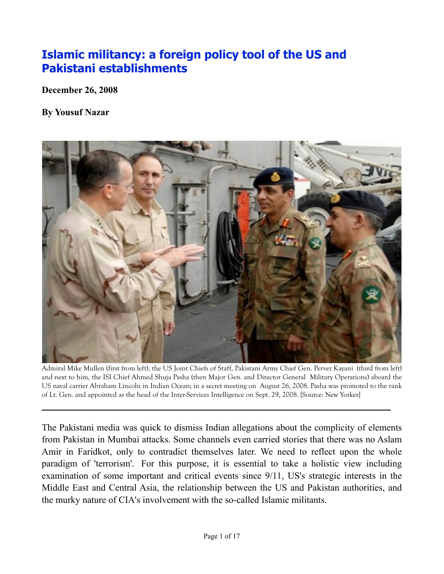# **[Islamic militancy: a foreign policy tool of the US and](http://www.yousufnazar.com/?p=777)  [Pakistani establishments](http://www.yousufnazar.com/?p=777)**

**December 26, 2008**

**By Yousuf Nazar**



Admiral Mike Mullen (first from left), the US Joint Chiefs of Staff, Pakistani Army Chief Gen. Pervez Kayani (third from left) and next to him, the ISI Chief Ahmed Shuja Pasha (then Major Gen. and Director General Military Operations) aboard the US naval carrier Abraham Lincoln in Indian Ocean; in a secret meeting on August 26, 2008. Pasha was promoted to the rank of Lt. Gen. and appointed as the head of the Inter-Services Intelligence on Sept. 29, 2008. [Source: New Yorker]

**\_\_\_\_\_\_\_\_\_\_\_\_\_\_\_\_\_\_\_\_\_\_\_\_\_\_\_\_\_\_\_\_\_\_\_\_\_\_\_\_\_\_\_\_\_\_\_\_\_\_\_\_\_\_\_\_\_\_\_\_\_\_\_**

The Pakistani media was quick to dismiss Indian allegations about the complicity of elements from Pakistan in Mumbai attacks. Some channels even carried stories that there was no Aslam Amir in Faridkot, only to contradict themselves later. We need to reflect upon the whole paradigm of 'terrorism'. For this purpose, it is essential to take a holistic view including examination of some important and critical events since 9/11, US's strategic interests in the Middle East and Central Asia, the relationship between the US and Pakistan authorities, and the murky nature of CIA's involvement with the so-called Islamic militants.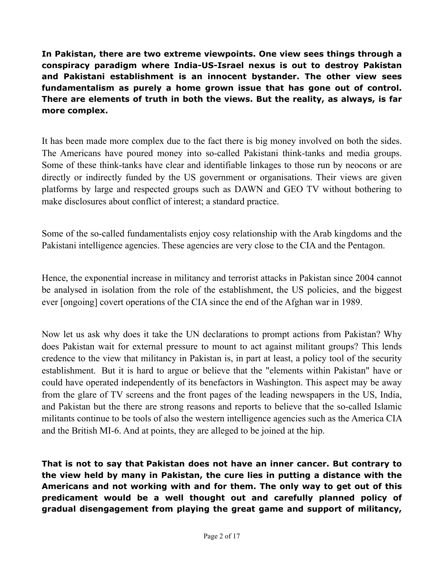**In Pakistan, there are two extreme viewpoints. One view sees things through a conspiracy paradigm where India-US-Israel nexus is out to destroy Pakistan and Pakistani establishment is an innocent bystander. The other view sees fundamentalism as purely a home grown issue that has gone out of control. There are elements of truth in both the views. But the reality, as always, is far more complex.** 

It has been made more complex due to the fact there is big money involved on both the sides. The Americans have poured money into so-called Pakistani think-tanks and media groups. Some of these think-tanks have clear and identifiable linkages to those run by neocons or are directly or indirectly funded by the US government or organisations. Their views are given platforms by large and respected groups such as DAWN and GEO TV without bothering to make disclosures about conflict of interest; a standard practice.

Some of the so-called fundamentalists enjoy cosy relationship with the Arab kingdoms and the Pakistani intelligence agencies. These agencies are very close to the CIA and the Pentagon.

Hence, the exponential increase in militancy and terrorist attacks in Pakistan since 2004 cannot be analysed in isolation from the role of the establishment, the US policies, and the biggest ever [ongoing] covert operations of the CIA since the end of the Afghan war in 1989.

Now let us ask why does it take the UN declarations to prompt actions from Pakistan? Why does Pakistan wait for external pressure to mount to act against militant groups? This lends credence to the view that militancy in Pakistan is, in part at least, a policy tool of the security establishment. But it is hard to argue or believe that the "elements within Pakistan" have or could have operated independently of its benefactors in Washington. This aspect may be away from the glare of TV screens and the front pages of the leading newspapers in the US, India, and Pakistan but the there are strong reasons and reports to believe that the so-called Islamic militants continue to be tools of also the western intelligence agencies such as the America CIA and the British MI-6. And at points, they are alleged to be joined at the hip.

**That is not to say that Pakistan does not have an inner cancer. But contrary to the view held by many in Pakistan, the cure lies in putting a distance with the Americans and not working with and for them. The only way to get out of this predicament would be a well thought out and carefully planned policy of gradual disengagement from playing the great game and support of militancy,**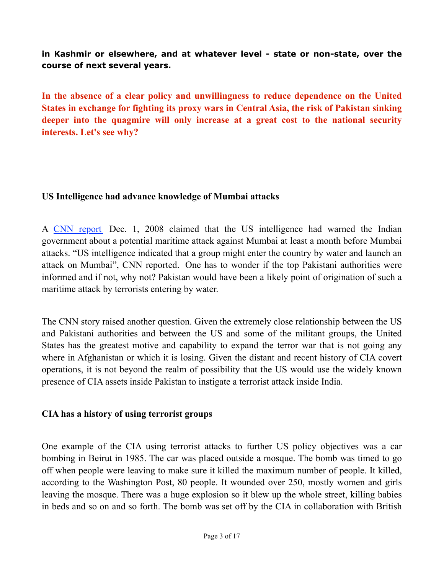#### **in Kashmir or elsewhere, and at whatever level - state or non-state, over the course of next several years.**

**In the absence of a clear policy and unwillingness to reduce dependence on the United States in exchange for fighting its proxy wars in Central Asia, the risk of Pakistan sinking deeper into the quagmire will only increase at a great cost to the national security interests. Let's see why?**

#### **US Intelligence had advance knowledge of Mumbai attacks**

A [CNN report](http://edition.cnn.com/2008/WORLD/asiapcf/12/01/india.attacks2/index.html) Dec. 1, 2008 claimed that the US intelligence had warned the Indian government about a potential maritime attack against Mumbai at least a month before Mumbai attacks. "US intelligence indicated that a group might enter the country by water and launch an attack on Mumbai", CNN reported. One has to wonder if the top Pakistani authorities were informed and if not, why not? Pakistan would have been a likely point of origination of such a maritime attack by terrorists entering by water.

The CNN story raised another question. Given the extremely close relationship between the US and Pakistani authorities and between the US and some of the militant groups, the United States has the greatest motive and capability to expand the terror war that is not going any where in Afghanistan or which it is losing. Given the distant and recent history of CIA covert operations, it is not beyond the realm of possibility that the US would use the widely known presence of CIA assets inside Pakistan to instigate a terrorist attack inside India.

#### **CIA has a history of using terrorist groups**

One example of the CIA using terrorist attacks to further US policy objectives was a car bombing in Beirut in 1985. The car was placed outside a mosque. The bomb was timed to go off when people were leaving to make sure it killed the maximum number of people. It killed, according to the Washington Post, 80 people. It wounded over 250, mostly women and girls leaving the mosque. There was a huge explosion so it blew up the whole street, killing babies in beds and so on and so forth. The bomb was set off by the CIA in collaboration with British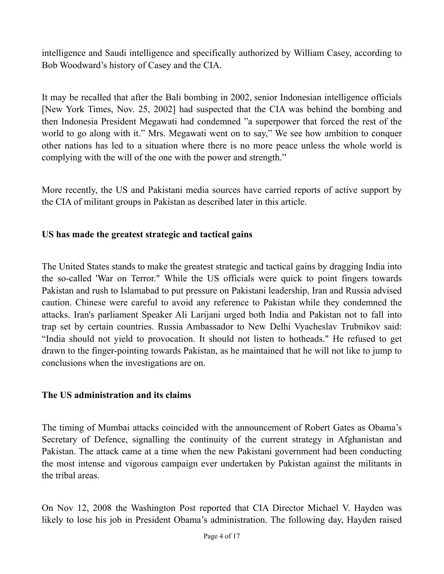intelligence and Saudi intelligence and specifically authorized by William Casey, according to Bob Woodward's history of Casey and the CIA.

It may be recalled that after the Bali bombing in 2002, senior Indonesian intelligence officials [New York Times, Nov. 25, 2002] had suspected that the CIA was behind the bombing and then Indonesia President Megawati had condemned "a superpower that forced the rest of the world to go along with it." Mrs. Megawati went on to say," We see how ambition to conquer other nations has led to a situation where there is no more peace unless the whole world is complying with the will of the one with the power and strength."

More recently, the US and Pakistani media sources have carried reports of active support by the CIA of militant groups in Pakistan as described later in this article.

# **US has made the greatest strategic and tactical gains**

The United States stands to make the greatest strategic and tactical gains by dragging India into the so-called 'War on Terror." While the US officials were quick to point fingers towards Pakistan and rush to Islamabad to put pressure on Pakistani leadership, Iran and Russia advised caution. Chinese were careful to avoid any reference to Pakistan while they condemned the attacks. Iran's parliament Speaker Ali Larijani urged both India and Pakistan not to fall into trap set by certain countries. Russia Ambassador to New Delhi Vyacheslav Trubnikov said: "India should not yield to provocation. It should not listen to hotheads." He refused to get drawn to the finger-pointing towards Pakistan, as he maintained that he will not like to jump to conclusions when the investigations are on.

#### **The US administration and its claims**

The timing of Mumbai attacks coincided with the announcement of Robert Gates as Obama's Secretary of Defence, signalling the continuity of the current strategy in Afghanistan and Pakistan. The attack came at a time when the new Pakistani government had been conducting the most intense and vigorous campaign ever undertaken by Pakistan against the militants in the tribal areas.

On Nov 12, 2008 the Washington Post reported that CIA Director Michael V. Hayden was likely to lose his job in President Obama's administration. The following day, Hayden raised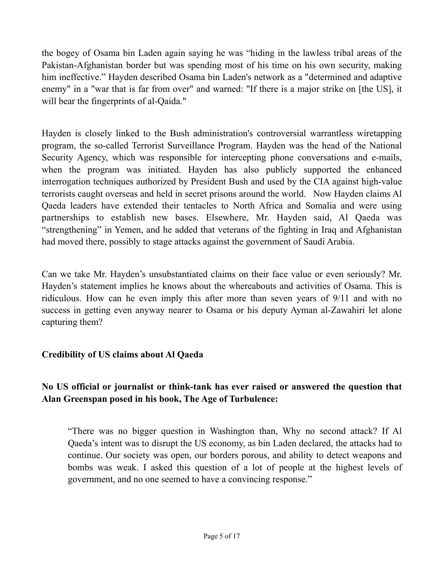the bogey of Osama bin Laden again saying he was "hiding in the lawless tribal areas of the Pakistan-Afghanistan border but was spending most of his time on his own security, making him ineffective." Hayden described Osama bin Laden's network as a "determined and adaptive enemy" in a "war that is far from over" and warned: "If there is a major strike on [the US], it will bear the fingerprints of al-Qaida."

Hayden is closely linked to the Bush administration's controversial warrantless wiretapping program, the so-called Terrorist Surveillance Program. Hayden was the head of the National Security Agency, which was responsible for intercepting phone conversations and e-mails, when the program was initiated. Hayden has also publicly supported the enhanced interrogation techniques authorized by President Bush and used by the CIA against high-value terrorists caught overseas and held in secret prisons around the world. Now Hayden claims Al Qaeda leaders have extended their tentacles to North Africa and Somalia and were using partnerships to establish new bases. Elsewhere, Mr. Hayden said, Al Qaeda was "strengthening" in Yemen, and he added that veterans of the fighting in Iraq and Afghanistan had moved there, possibly to stage attacks against the government of Saudi Arabia.

Can we take Mr. Hayden's unsubstantiated claims on their face value or even seriously? Mr. Hayden's statement implies he knows about the whereabouts and activities of Osama. This is ridiculous. How can he even imply this after more than seven years of 9/11 and with no success in getting even anyway nearer to Osama or his deputy Ayman al-Zawahiri let alone capturing them?

## **Credibility of US claims about Al Qaeda**

# **No US official or journalist or think-tank has ever raised or answered the question that Alan Greenspan posed in his book, The Age of Turbulence:**

"There was no bigger question in Washington than, Why no second attack? If Al Qaeda's intent was to disrupt the US economy, as bin Laden declared, the attacks had to continue. Our society was open, our borders porous, and ability to detect weapons and bombs was weak. I asked this question of a lot of people at the highest levels of government, and no one seemed to have a convincing response."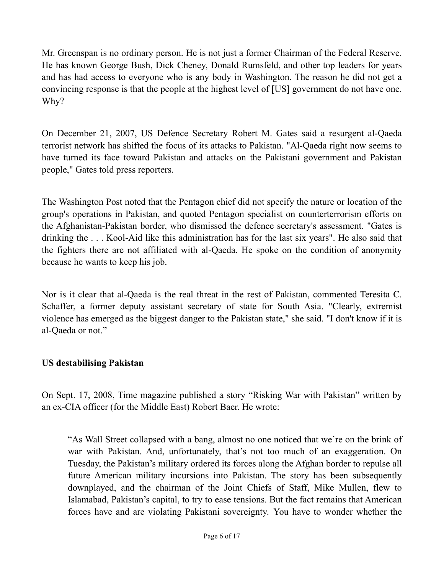Mr. Greenspan is no ordinary person. He is not just a former Chairman of the Federal Reserve. He has known George Bush, Dick Cheney, Donald Rumsfeld, and other top leaders for years and has had access to everyone who is any body in Washington. The reason he did not get a convincing response is that the people at the highest level of [US] government do not have one. Why?

On December 21, 2007, US Defence Secretary Robert M. Gates said a resurgent al-Qaeda terrorist network has shifted the focus of its attacks to Pakistan. "Al-Qaeda right now seems to have turned its face toward Pakistan and attacks on the Pakistani government and Pakistan people," Gates told press reporters.

The Washington Post noted that the Pentagon chief did not specify the nature or location of the group's operations in Pakistan, and quoted Pentagon specialist on counterterrorism efforts on the Afghanistan-Pakistan border, who dismissed the defence secretary's assessment. "Gates is drinking the . . . Kool-Aid like this administration has for the last six years". He also said that the fighters there are not affiliated with al-Qaeda. He spoke on the condition of anonymity because he wants to keep his job.

Nor is it clear that al-Qaeda is the real threat in the rest of Pakistan, commented Teresita C. Schaffer, a former deputy assistant secretary of state for South Asia. "Clearly, extremist violence has emerged as the biggest danger to the Pakistan state," she said. "I don't know if it is al-Qaeda or not."

## **US destabilising Pakistan**

On Sept. 17, 2008, Time magazine published a story "Risking War with Pakistan" written by an ex-CIA officer (for the Middle East) Robert Baer. He wrote:

"As Wall Street collapsed with a bang, almost no one noticed that we're on the brink of war with Pakistan. And, unfortunately, that's not too much of an exaggeration. On Tuesday, the Pakistan's military ordered its forces along the Afghan border to repulse all future American military incursions into Pakistan. The story has been subsequently downplayed, and the chairman of the Joint Chiefs of Staff, Mike Mullen, flew to Islamabad, Pakistan's capital, to try to ease tensions. But the fact remains that American forces have and are violating Pakistani sovereignty. You have to wonder whether the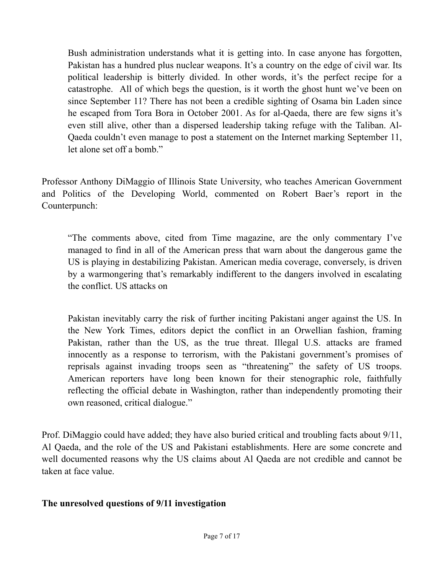Bush administration understands what it is getting into. In case anyone has forgotten, Pakistan has a hundred plus nuclear weapons. It's a country on the edge of civil war. Its political leadership is bitterly divided. In other words, it's the perfect recipe for a catastrophe. All of which begs the question, is it worth the ghost hunt we've been on since September 11? There has not been a credible sighting of Osama bin Laden since he escaped from Tora Bora in October 2001. As for al-Qaeda, there are few signs it's even still alive, other than a dispersed leadership taking refuge with the Taliban. Al-Qaeda couldn't even manage to post a statement on the Internet marking September 11, let alone set off a bomb."

Professor Anthony DiMaggio of Illinois State University, who teaches American Government and Politics of the Developing World, commented on Robert Baer's report in the Counterpunch:

"The comments above, cited from Time magazine, are the only commentary I've managed to find in all of the American press that warn about the dangerous game the US is playing in destabilizing Pakistan. American media coverage, conversely, is driven by a warmongering that's remarkably indifferent to the dangers involved in escalating the conflict. US attacks on

Pakistan inevitably carry the risk of further inciting Pakistani anger against the US. In the New York Times, editors depict the conflict in an Orwellian fashion, framing Pakistan, rather than the US, as the true threat. Illegal U.S. attacks are framed innocently as a response to terrorism, with the Pakistani government's promises of reprisals against invading troops seen as "threatening" the safety of US troops. American reporters have long been known for their stenographic role, faithfully reflecting the official debate in Washington, rather than independently promoting their own reasoned, critical dialogue."

Prof. DiMaggio could have added; they have also buried critical and troubling facts about 9/11, Al Qaeda, and the role of the US and Pakistani establishments. Here are some concrete and well documented reasons why the US claims about Al Qaeda are not credible and cannot be taken at face value.

## **The unresolved questions of 9/11 investigation**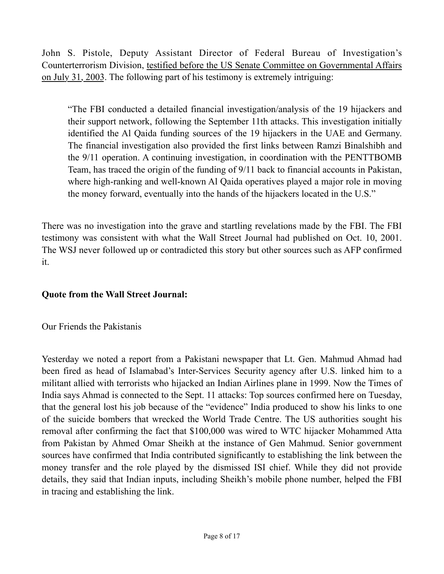John S. Pistole, Deputy Assistant Director of Federal Bureau of Investigation's Counterterrorism Division, testified before the US Senate Committee on Governmental Affairs on July 31, 2003. The following part of his testimony is extremely intriguing:

"The FBI conducted a detailed financial investigation/analysis of the 19 hijackers and their support network, following the September 11th attacks. This investigation initially identified the Al Qaida funding sources of the 19 hijackers in the UAE and Germany. The financial investigation also provided the first links between Ramzi Binalshibh and the 9/11 operation. A continuing investigation, in coordination with the PENTTBOMB Team, has traced the origin of the funding of 9/11 back to financial accounts in Pakistan, where high-ranking and well-known Al Qaida operatives played a major role in moving the money forward, eventually into the hands of the hijackers located in the U.S."

There was no investigation into the grave and startling revelations made by the FBI. The FBI testimony was consistent with what the Wall Street Journal had published on Oct. 10, 2001. The WSJ never followed up or contradicted this story but other sources such as AFP confirmed it.

## **Quote from the Wall Street Journal:**

Our Friends the Pakistanis

Yesterday we noted a report from a Pakistani newspaper that Lt. Gen. Mahmud Ahmad had been fired as head of Islamabad's Inter-Services Security agency after U.S. linked him to a militant allied with terrorists who hijacked an Indian Airlines plane in 1999. Now the Times of India says Ahmad is connected to the Sept. 11 attacks: Top sources confirmed here on Tuesday, that the general lost his job because of the "evidence" India produced to show his links to one of the suicide bombers that wrecked the World Trade Centre. The US authorities sought his removal after confirming the fact that \$100,000 was wired to WTC hijacker Mohammed Atta from Pakistan by Ahmed Omar Sheikh at the instance of Gen Mahmud. Senior government sources have confirmed that India contributed significantly to establishing the link between the money transfer and the role played by the dismissed ISI chief. While they did not provide details, they said that Indian inputs, including Sheikh's mobile phone number, helped the FBI in tracing and establishing the link.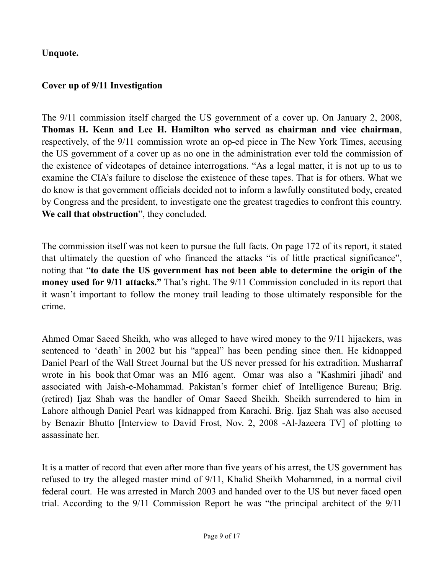# **Unquote.**

#### **Cover up of 9/11 Investigation**

The 9/11 commission itself charged the US government of a cover up. On January 2, 2008, **Thomas H. Kean and Lee H. Hamilton who served as chairman and vice chairman**, respectively, of the 9/11 commission wrote an op-ed piece in The New York Times, accusing the US government of a cover up as no one in the administration ever told the commission of the existence of videotapes of detainee interrogations. "As a legal matter, it is not up to us to examine the CIA's failure to disclose the existence of these tapes. That is for others. What we do know is that government officials decided not to inform a lawfully constituted body, created by Congress and the president, to investigate one the greatest tragedies to confront this country. **We call that obstruction**", they concluded.

The commission itself was not keen to pursue the full facts. On page 172 of its report, it stated that ultimately the question of who financed the attacks "is of little practical significance", noting that "**to date the US government has not been able to determine the origin of the money used for 9/11 attacks."** That's right. The 9/11 Commission concluded in its report that it wasn't important to follow the money trail leading to those ultimately responsible for the crime.

Ahmed Omar Saeed Sheikh, who was alleged to have wired money to the 9/11 hijackers, was sentenced to 'death' in 2002 but his "appeal" has been pending since then. He kidnapped Daniel Pearl of the Wall Street Journal but the US never pressed for his extradition. Musharraf wrote in his book that Omar was an MI6 agent. Omar was also a "Kashmiri jihadi' and associated with Jaish-e-Mohammad. Pakistan's former chief of Intelligence Bureau; Brig. (retired) Ijaz Shah was the handler of Omar Saeed Sheikh. Sheikh surrendered to him in Lahore although Daniel Pearl was kidnapped from Karachi. Brig. Ijaz Shah was also accused by Benazir Bhutto [Interview to David Frost, Nov. 2, 2008 -Al-Jazeera TV] of plotting to assassinate her.

It is a matter of record that even after more than five years of his arrest, the US government has refused to try the alleged master mind of 9/11, Khalid Sheikh Mohammed, in a normal civil federal court. He was arrested in March 2003 and handed over to the US but never faced open trial. According to the 9/11 Commission Report he was "the principal architect of the 9/11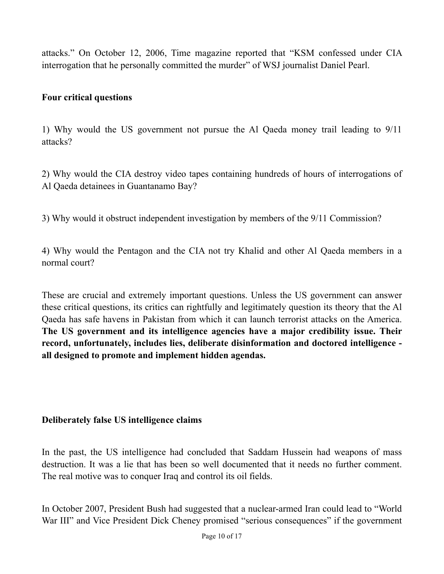attacks." On October 12, 2006, Time magazine reported that "KSM confessed under CIA interrogation that he personally committed the murder" of WSJ journalist Daniel Pearl.

#### **Four critical questions**

1) Why would the US government not pursue the Al Qaeda money trail leading to 9/11 attacks?

2) Why would the CIA destroy video tapes containing hundreds of hours of interrogations of Al Qaeda detainees in Guantanamo Bay?

3) Why would it obstruct independent investigation by members of the 9/11 Commission?

4) Why would the Pentagon and the CIA not try Khalid and other Al Qaeda members in a normal court?

These are crucial and extremely important questions. Unless the US government can answer these critical questions, its critics can rightfully and legitimately question its theory that the Al Qaeda has safe havens in Pakistan from which it can launch terrorist attacks on the America. **The US government and its intelligence agencies have a major credibility issue. Their record, unfortunately, includes lies, deliberate disinformation and doctored intelligence all designed to promote and implement hidden agendas.** 

#### **Deliberately false US intelligence claims**

In the past, the US intelligence had concluded that Saddam Hussein had weapons of mass destruction. It was a lie that has been so well documented that it needs no further comment. The real motive was to conquer Iraq and control its oil fields.

In October 2007, President Bush had suggested that a nuclear-armed Iran could lead to "World War III" and Vice President Dick Cheney promised "serious consequences" if the government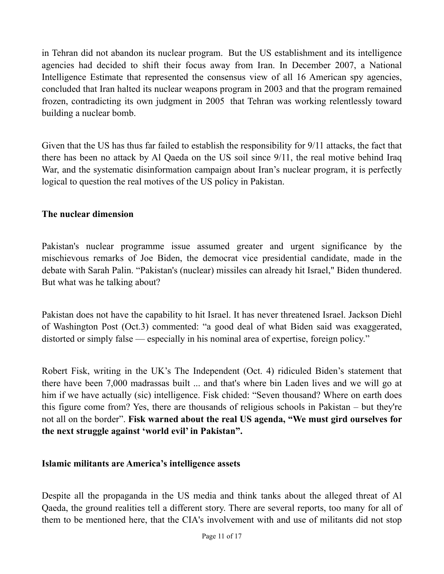in Tehran did not abandon its nuclear program. But the US establishment and its intelligence agencies had decided to shift their focus away from Iran. In December 2007, a National Intelligence Estimate that represented the consensus view of all 16 American spy agencies, concluded that Iran halted its nuclear weapons program in 2003 and that the program remained frozen, contradicting its own judgment in 2005 that Tehran was working relentlessly toward building a nuclear bomb.

Given that the US has thus far failed to establish the responsibility for 9/11 attacks, the fact that there has been no attack by Al Qaeda on the US soil since 9/11, the real motive behind Iraq War, and the systematic disinformation campaign about Iran's nuclear program, it is perfectly logical to question the real motives of the US policy in Pakistan.

# **The nuclear dimension**

Pakistan's nuclear programme issue assumed greater and urgent significance by the mischievous remarks of Joe Biden, the democrat vice presidential candidate, made in the debate with Sarah Palin. "Pakistan's (nuclear) missiles can already hit Israel," Biden thundered. But what was he talking about?

Pakistan does not have the capability to hit Israel. It has never threatened Israel. Jackson Diehl of Washington Post (Oct.3) commented: "a good deal of what Biden said was exaggerated, distorted or simply false — especially in his nominal area of expertise, foreign policy."

Robert Fisk, writing in the UK's The Independent (Oct. 4) ridiculed Biden's statement that there have been 7,000 madrassas built ... and that's where bin Laden lives and we will go at him if we have actually (sic) intelligence. Fisk chided: "Seven thousand? Where on earth does this figure come from? Yes, there are thousands of religious schools in Pakistan – but they're not all on the border". **Fisk warned about the real US agenda, "We must gird ourselves for the next struggle against 'world evil' in Pakistan".** 

## **Islamic militants are America's intelligence assets**

Despite all the propaganda in the US media and think tanks about the alleged threat of Al Qaeda, the ground realities tell a different story. There are several reports, too many for all of them to be mentioned here, that the CIA's involvement with and use of militants did not stop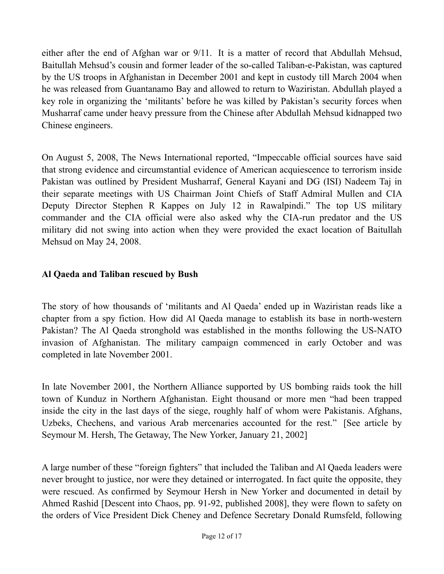either after the end of Afghan war or 9/11. It is a matter of record that Abdullah Mehsud, Baitullah Mehsud's cousin and former leader of the so-called Taliban-e-Pakistan, was captured by the US troops in Afghanistan in December 2001 and kept in custody till March 2004 when he was released from Guantanamo Bay and allowed to return to Waziristan. Abdullah played a key role in organizing the 'militants' before he was killed by Pakistan's security forces when Musharraf came under heavy pressure from the Chinese after Abdullah Mehsud kidnapped two Chinese engineers.

On August 5, 2008, The News International reported, "Impeccable official sources have said that strong evidence and circumstantial evidence of American acquiescence to terrorism inside Pakistan was outlined by President Musharraf, General Kayani and DG (ISI) Nadeem Taj in their separate meetings with US Chairman Joint Chiefs of Staff Admiral Mullen and CIA Deputy Director Stephen R Kappes on July 12 in Rawalpindi." The top US military commander and the CIA official were also asked why the CIA-run predator and the US military did not swing into action when they were provided the exact location of Baitullah Mehsud on May 24, 2008.

# **Al Qaeda and Taliban rescued by Bush**

The story of how thousands of 'militants and Al Qaeda' ended up in Waziristan reads like a chapter from a spy fiction. How did Al Qaeda manage to establish its base in north-western Pakistan? The Al Qaeda stronghold was established in the months following the US-NATO invasion of Afghanistan. The military campaign commenced in early October and was completed in late November 2001.

In late November 2001, the Northern Alliance supported by US bombing raids took the hill town of Kunduz in Northern Afghanistan. Eight thousand or more men "had been trapped inside the city in the last days of the siege, roughly half of whom were Pakistanis. Afghans, Uzbeks, Chechens, and various Arab mercenaries accounted for the rest." [See article by Seymour M. Hersh, The Getaway, The New Yorker, January 21, 2002]

A large number of these "foreign fighters" that included the Taliban and Al Qaeda leaders were never brought to justice, nor were they detained or interrogated. In fact quite the opposite, they were rescued. As confirmed by Seymour Hersh in New Yorker and documented in detail by Ahmed Rashid [Descent into Chaos, pp. 91-92, published 2008], they were flown to safety on the orders of Vice President Dick Cheney and Defence Secretary Donald Rumsfeld, following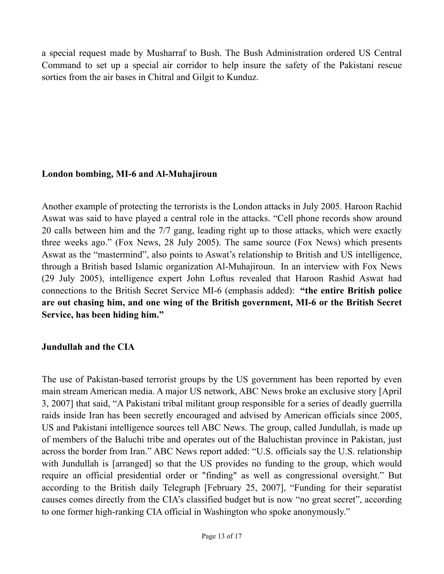a special request made by Musharraf to Bush. The Bush Administration ordered US Central Command to set up a special air corridor to help insure the safety of the Pakistani rescue sorties from the air bases in Chitral and Gilgit to Kunduz.

#### **London bombing, MI-6 and Al-Muhajiroun**

Another example of protecting the terrorists is the London attacks in July 2005. Haroon Rachid Aswat was said to have played a central role in the attacks. "Cell phone records show around 20 calls between him and the 7/7 gang, leading right up to those attacks, which were exactly three weeks ago." (Fox News, 28 July 2005). The same source (Fox News) which presents Aswat as the "mastermind", also points to Aswat's relationship to British and US intelligence, through a British based Islamic organization Al-Muhajiroun. In an interview with Fox News (29 July 2005), intelligence expert John Loftus revealed that Haroon Rashid Aswat had connections to the British Secret Service MI-6 (emphasis added): **"the entire British police are out chasing him, and one wing of the British government, MI-6 or the British Secret Service, has been hiding him."** 

## **Jundullah and the CIA**

The use of Pakistan-based terrorist groups by the US government has been reported by even main stream American media. A major US network, ABC News broke an exclusive story [April 3, 2007] that said, "A Pakistani tribal militant group responsible for a series of deadly guerrilla raids inside Iran has been secretly encouraged and advised by American officials since 2005, US and Pakistani intelligence sources tell ABC News. The group, called Jundullah, is made up of members of the Baluchi tribe and operates out of the Baluchistan province in Pakistan, just across the border from Iran." ABC News report added: "U.S. officials say the U.S. relationship with Jundullah is [arranged] so that the US provides no funding to the group, which would require an official presidential order or "finding" as well as congressional oversight." But according to the British daily Telegraph [February 25, 2007], "Funding for their separatist causes comes directly from the CIA's classified budget but is now "no great secret", according to one former high-ranking CIA official in Washington who spoke anonymously."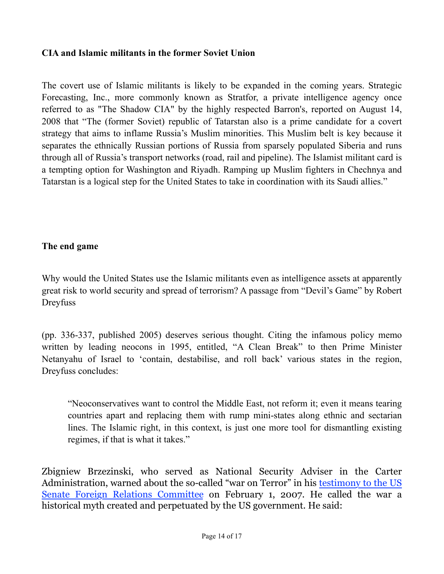#### **CIA and Islamic militants in the former Soviet Union**

The covert use of Islamic militants is likely to be expanded in the coming years. Strategic Forecasting, Inc., more commonly known as Stratfor, a private intelligence agency once referred to as "The Shadow CIA" by the highly respected Barron's, reported on August 14, 2008 that "The (former Soviet) republic of Tatarstan also is a prime candidate for a covert strategy that aims to inflame Russia's Muslim minorities. This Muslim belt is key because it separates the ethnically Russian portions of Russia from sparsely populated Siberia and runs through all of Russia's transport networks (road, rail and pipeline). The Islamist militant card is a tempting option for Washington and Riyadh. Ramping up Muslim fighters in Chechnya and Tatarstan is a logical step for the United States to take in coordination with its Saudi allies."

#### **The end game**

Why would the United States use the Islamic militants even as intelligence assets at apparently great risk to world security and spread of terrorism? A passage from "Devil's Game" by Robert Dreyfuss

(pp. 336-337, published 2005) deserves serious thought. Citing the infamous policy memo written by leading neocons in 1995, entitled, "A Clean Break" to then Prime Minister Netanyahu of Israel to 'contain, destabilise, and roll back' various states in the region, Dreyfuss concludes:

"Neoconservatives want to control the Middle East, not reform it; even it means tearing countries apart and replacing them with rump mini-states along ethnic and sectarian lines. The Islamic right, in this context, is just one more tool for dismantling existing regimes, if that is what it takes."

Zbigniew Brzezinski, who served as National Security Adviser in the Carter Administration, warned about the so-called "war on Terror" in his [testimony to the US](http://foreign.senate.gov/testimony/2007/BrzezinskiTestimony070201.pdf) [Senate Foreign Relations Committee](http://foreign.senate.gov/testimony/2007/BrzezinskiTestimony070201.pdf) on February 1, 2007. He called the war a historical myth created and perpetuated by the US government. He said: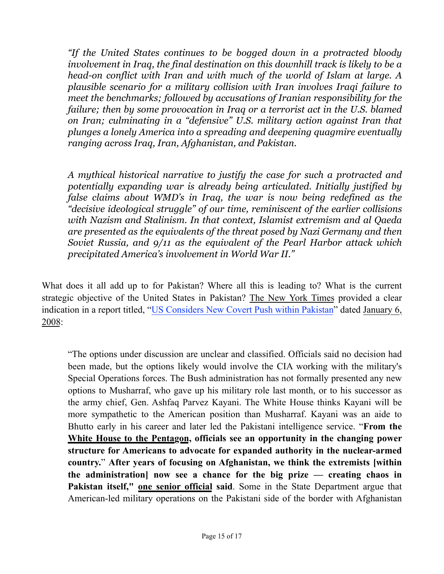*"If the United States continues to be bogged down in a protracted bloody involvement in Iraq, the final destination on this downhill track is likely to be a head-on conflict with Iran and with much of the world of Islam at large. A plausible scenario for a military collision with Iran involves Iraqi failure to meet the benchmarks; followed by accusations of Iranian responsibility for the failure; then by some provocation in Iraq or a terrorist act in the U.S. blamed on Iran; culminating in a "defensive" U.S. military action against Iran that plunges a lonely America into a spreading and deepening quagmire eventually ranging across Iraq, Iran, Afghanistan, and Pakistan.*

*A mythical historical narrative to justify the case for such a protracted and potentially expanding war is already being articulated. Initially justified by false claims about WMD's in Iraq, the war is now being redefined as the "decisive ideological struggle" of our time, reminiscent of the earlier collisions with Nazism and Stalinism. In that context, Islamist extremism and al Qaeda are presented as the equivalents of the threat posed by Nazi Germany and then Soviet Russia, and 9/11 as the equivalent of the Pearl Harbor attack which precipitated America's involvement in World War II."*

What does it all add up to for Pakistan? Where all this is leading to? What is the current strategic objective of the United States in Pakistan? The New York Times provided a clear indication in a report titled, ["US Considers New Covert Push within Pakistan](http://www.nytimes.com/2008/01/06/washington/06terror.html?_r=1&scp=1&sq=pakistan%20january%208&st=cse)" dated January 6, 2008:

"The options under discussion are unclear and classified. Officials said no decision had been made, but the options likely would involve the CIA working with the military's Special Operations forces. The Bush administration has not formally presented any new options to Musharraf, who gave up his military role last month, or to his successor as the army chief, Gen. Ashfaq Parvez Kayani. The White House thinks Kayani will be more sympathetic to the American position than Musharraf. Kayani was an aide to Bhutto early in his career and later led the Pakistani intelligence service. "**From the White House to the Pentagon, officials see an opportunity in the changing power structure for Americans to advocate for expanded authority in the nuclear-armed country.**" **After years of focusing on Afghanistan, we think the extremists [within the administration] now see a chance for the big prize — creating chaos in Pakistan itself," one senior official said**. Some in the State Department argue that American-led military operations on the Pakistani side of the border with Afghanistan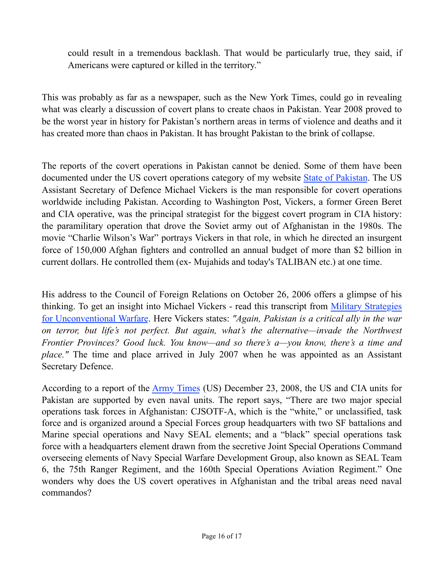could result in a tremendous backlash. That would be particularly true, they said, if Americans were captured or killed in the territory."

This was probably as far as a newspaper, such as the New York Times, could go in revealing what was clearly a discussion of covert plans to create chaos in Pakistan. Year 2008 proved to be the worst year in history for Pakistan's northern areas in terms of violence and deaths and it has created more than chaos in Pakistan. It has brought Pakistan to the brink of collapse.

The reports of the covert operations in Pakistan cannot be denied. Some of them have been documented under the US covert operations category of my website **[State of Pakistan](http://www.yousufnazar.com/?cat=16)**. The US Assistant Secretary of Defence Michael Vickers is the man responsible for covert operations worldwide including Pakistan. According to Washington Post, Vickers, a former Green Beret and CIA operative, was the principal strategist for the biggest covert program in CIA history: the paramilitary operation that drove the Soviet army out of Afghanistan in the 1980s. The movie "Charlie Wilson's War" portrays Vickers in that role, in which he directed an insurgent force of 150,000 Afghan fighters and controlled an annual budget of more than \$2 billion in current dollars. He controlled them (ex- Mujahids and today's TALIBAN etc.) at one time.

His address to the Council of Foreign Relations on October 26, 2006 offers a glimpse of his thinking. To get an insight into Michael Vickers - read this transcript from [Military Strategies](http://www.cfr.org/publication/11834/military_strategies_for_unconventional_warfare_rush_transcript_federal_news_service.html) [for Unconventional Warfare.](http://www.cfr.org/publication/11834/military_strategies_for_unconventional_warfare_rush_transcript_federal_news_service.html) Here Vickers states: *"Again, Pakistan is a critical ally in the war on terror, but life's not perfect. But again, what's the alternative—invade the Northwest Frontier Provinces? Good luck. You know—and so there's a—you know, there's a time and place.*" The time and place arrived in July 2007 when he was appointed as an Assistant Secretary Defence.

According to a report of the [Army Times](http://www.yousufnazar.com/?p=793) (US) December 23, 2008, the US and CIA units for Pakistan are supported by even naval units. The report says, "There are two major special operations task forces in Afghanistan: CJSOTF-A, which is the "white," or unclassified, task force and is organized around a Special Forces group headquarters with two SF battalions and Marine special operations and Navy SEAL elements; and a "black" special operations task force with a headquarters element drawn from the secretive Joint Special Operations Command overseeing elements of Navy Special Warfare Development Group, also known as SEAL Team 6, the 75th Ranger Regiment, and the 160th Special Operations Aviation Regiment." One wonders why does the US covert operatives in Afghanistan and the tribal areas need naval commandos?